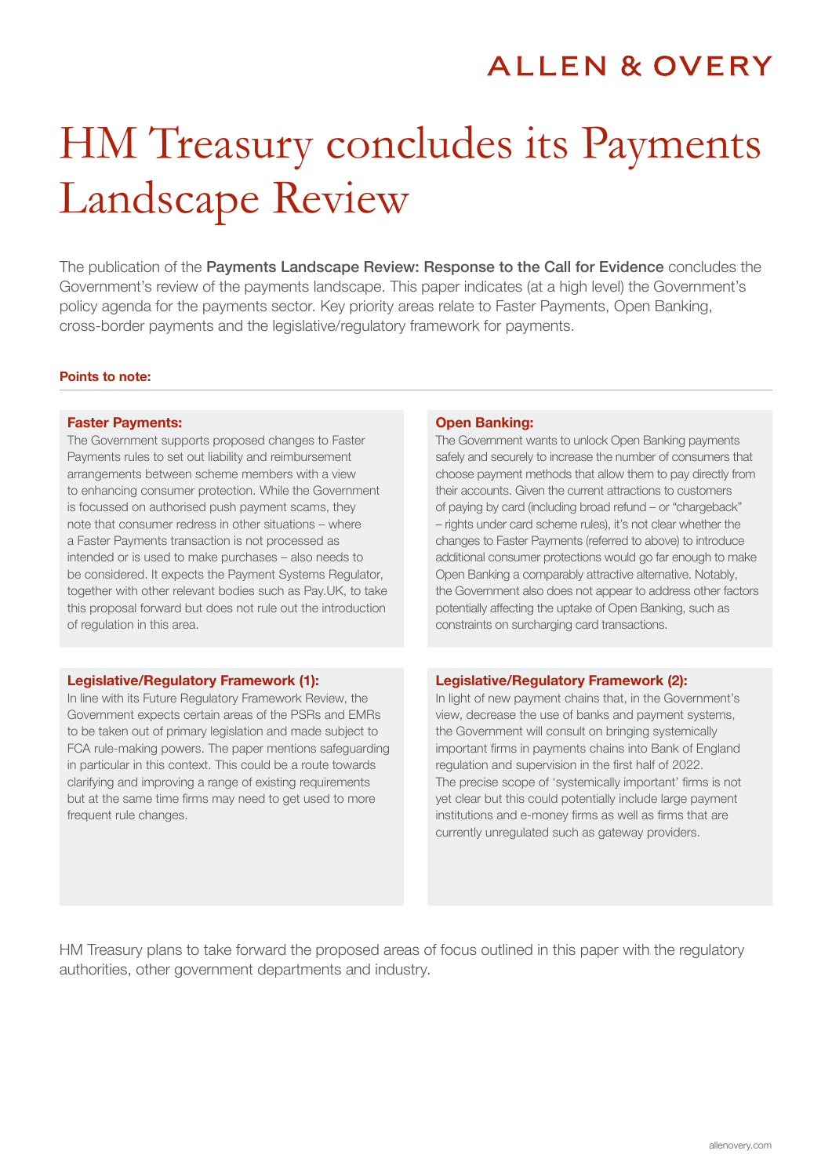## **ALLEN & OVERY**

# HM Treasury concludes its Payments Landscape Review

The publication of the Payments Landscape Review: Response to the Call for Evidence concludes the Government's review of the payments landscape. This paper indicates (at a high level) the Government's policy agenda for the payments sector. Key priority areas relate to Faster Payments, Open Banking, cross-border payments and the legislative/regulatory framework for payments.

#### Points to note:

#### Faster Payments:

The Government supports proposed changes to Faster Payments rules to set out liability and reimbursement arrangements between scheme members with a view to enhancing consumer protection. While the Government is focussed on authorised push payment scams, they note that consumer redress in other situations – where a Faster Payments transaction is not processed as intended or is used to make purchases – also needs to be considered. It expects the Payment Systems Regulator, together with other relevant bodies such as Pay.UK, to take this proposal forward but does not rule out the introduction of regulation in this area.

#### Legislative/Regulatory Framework (1):

In line with its Future Regulatory Framework Review, the Government expects certain areas of the PSRs and EMRs to be taken out of primary legislation and made subject to FCA rule-making powers. The paper mentions safeguarding in particular in this context. This could be a route towards clarifying and improving a range of existing requirements but at the same time firms may need to get used to more frequent rule changes.

#### Open Banking:

The Government wants to unlock Open Banking payments safely and securely to increase the number of consumers that choose payment methods that allow them to pay directly from their accounts. Given the current attractions to customers of paying by card (including broad refund – or "chargeback" – rights under card scheme rules), it's not clear whether the changes to Faster Payments (referred to above) to introduce additional consumer protections would go far enough to make Open Banking a comparably attractive alternative. Notably, the Government also does not appear to address other factors potentially affecting the uptake of Open Banking, such as constraints on surcharging card transactions.

#### Legislative/Regulatory Framework (2):

In light of new payment chains that, in the Government's view, decrease the use of banks and payment systems, the Government will consult on bringing systemically important firms in payments chains into Bank of England regulation and supervision in the first half of 2022. The precise scope of 'systemically important' firms is not yet clear but this could potentially include large payment institutions and e-money firms as well as firms that are currently unregulated such as gateway providers.

HM Treasury plans to take forward the proposed areas of focus outlined in this paper with the regulatory authorities, other government departments and industry.